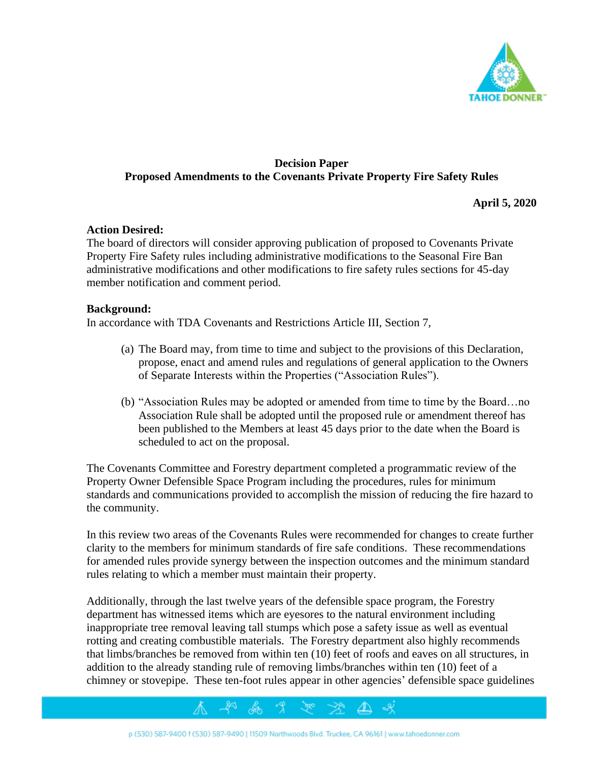

# **Decision Paper Proposed Amendments to the Covenants Private Property Fire Safety Rules**

**April 5, 2020**

#### **Action Desired:**

The board of directors will consider approving publication of proposed to Covenants Private Property Fire Safety rules including administrative modifications to the Seasonal Fire Ban administrative modifications and other modifications to fire safety rules sections for 45-day member notification and comment period.

#### **Background:**

In accordance with TDA Covenants and Restrictions Article III, Section 7,

- (a) The Board may, from time to time and subject to the provisions of this Declaration, propose, enact and amend rules and regulations of general application to the Owners of Separate Interests within the Properties ("Association Rules").
- (b) "Association Rules may be adopted or amended from time to time by the Board…no Association Rule shall be adopted until the proposed rule or amendment thereof has been published to the Members at least 45 days prior to the date when the Board is scheduled to act on the proposal.

The Covenants Committee and Forestry department completed a programmatic review of the Property Owner Defensible Space Program including the procedures, rules for minimum standards and communications provided to accomplish the mission of reducing the fire hazard to the community.

In this review two areas of the Covenants Rules were recommended for changes to create further clarity to the members for minimum standards of fire safe conditions. These recommendations for amended rules provide synergy between the inspection outcomes and the minimum standard rules relating to which a member must maintain their property.

Additionally, through the last twelve years of the defensible space program, the Forestry department has witnessed items which are eyesores to the natural environment including inappropriate tree removal leaving tall stumps which pose a safety issue as well as eventual rotting and creating combustible materials. The Forestry department also highly recommends that limbs/branches be removed from within ten (10) feet of roofs and eaves on all structures, in addition to the already standing rule of removing limbs/branches within ten (10) feet of a chimney or stovepipe. These ten-foot rules appear in other agencies' defensible space guidelines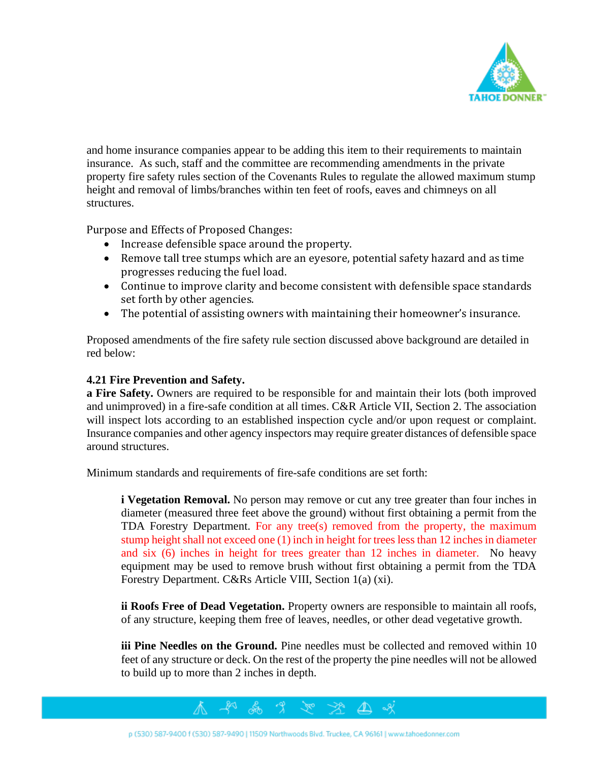

and home insurance companies appear to be adding this item to their requirements to maintain insurance. As such, staff and the committee are recommending amendments in the private property fire safety rules section of the Covenants Rules to regulate the allowed maximum stump height and removal of limbs/branches within ten feet of roofs, eaves and chimneys on all structures.

Purpose and Effects of Proposed Changes:

- Increase defensible space around the property.
- Remove tall tree stumps which are an eyesore, potential safety hazard and as time progresses reducing the fuel load.
- Continue to improve clarity and become consistent with defensible space standards set forth by other agencies.
- The potential of assisting owners with maintaining their homeowner's insurance.

Proposed amendments of the fire safety rule section discussed above background are detailed in red below:

### **4.21 Fire Prevention and Safety.**

**a Fire Safety.** Owners are required to be responsible for and maintain their lots (both improved and unimproved) in a fire-safe condition at all times. C&R Article VII, Section 2. The association will inspect lots according to an established inspection cycle and/or upon request or complaint. Insurance companies and other agency inspectors may require greater distances of defensible space around structures.

Minimum standards and requirements of fire-safe conditions are set forth:

**i Vegetation Removal.** No person may remove or cut any tree greater than four inches in diameter (measured three feet above the ground) without first obtaining a permit from the TDA Forestry Department. For any tree(s) removed from the property, the maximum stump height shall not exceed one (1) inch in height for trees less than 12 inches in diameter and six (6) inches in height for trees greater than 12 inches in diameter. No heavy equipment may be used to remove brush without first obtaining a permit from the TDA Forestry Department. C&Rs Article VIII, Section 1(a) (xi).

**ii Roofs Free of Dead Vegetation.** Property owners are responsible to maintain all roofs, of any structure, keeping them free of leaves, needles, or other dead vegetative growth.

**iii Pine Needles on the Ground.** Pine needles must be collected and removed within 10 feet of any structure or deck. On the rest of the property the pine needles will not be allowed to build up to more than 2 inches in depth.

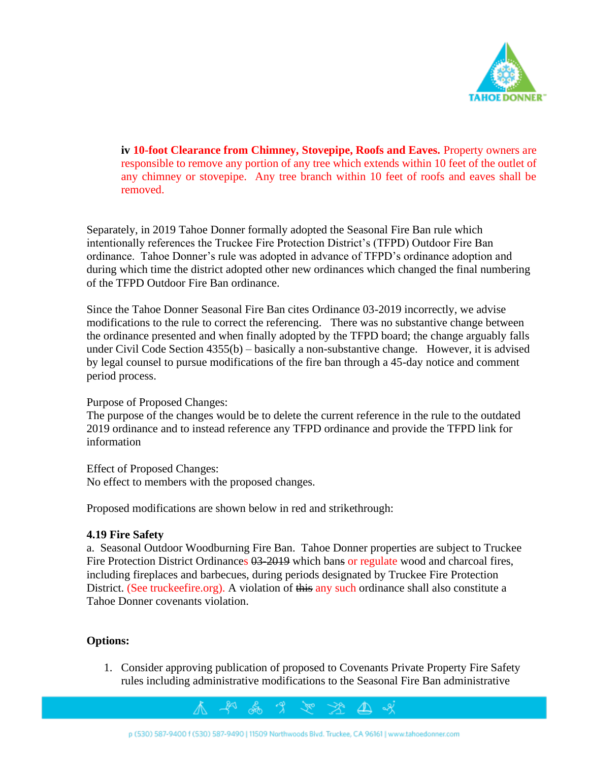

**iv 10-foot Clearance from Chimney, Stovepipe, Roofs and Eaves.** Property owners are responsible to remove any portion of any tree which extends within 10 feet of the outlet of any chimney or stovepipe. Any tree branch within 10 feet of roofs and eaves shall be removed.

Separately, in 2019 Tahoe Donner formally adopted the Seasonal Fire Ban rule which intentionally references the Truckee Fire Protection District's (TFPD) Outdoor Fire Ban ordinance. Tahoe Donner's rule was adopted in advance of TFPD's ordinance adoption and during which time the district adopted other new ordinances which changed the final numbering of the TFPD Outdoor Fire Ban ordinance.

Since the Tahoe Donner Seasonal Fire Ban cites Ordinance 03-2019 incorrectly, we advise modifications to the rule to correct the referencing. There was no substantive change between the ordinance presented and when finally adopted by the TFPD board; the change arguably falls under Civil Code Section 4355(b) – basically a non-substantive change. However, it is advised by legal counsel to pursue modifications of the fire ban through a 45-day notice and comment period process.

#### Purpose of Proposed Changes:

The purpose of the changes would be to delete the current reference in the rule to the outdated 2019 ordinance and to instead reference any TFPD ordinance and provide the TFPD link for information

Effect of Proposed Changes: No effect to members with the proposed changes.

Proposed modifications are shown below in red and strikethrough:

#### **4.19 Fire Safety**

a. Seasonal Outdoor Woodburning Fire Ban. Tahoe Donner properties are subject to Truckee Fire Protection District Ordinances  $\theta$ 3-2019 which bans or regulate wood and charcoal fires, including fireplaces and barbecues, during periods designated by Truckee Fire Protection District. (See truckeefire.org). A violation of this any such ordinance shall also constitute a Tahoe Donner covenants violation.

#### **Options:**

1. Consider approving publication of proposed to Covenants Private Property Fire Safety rules including administrative modifications to the Seasonal Fire Ban administrative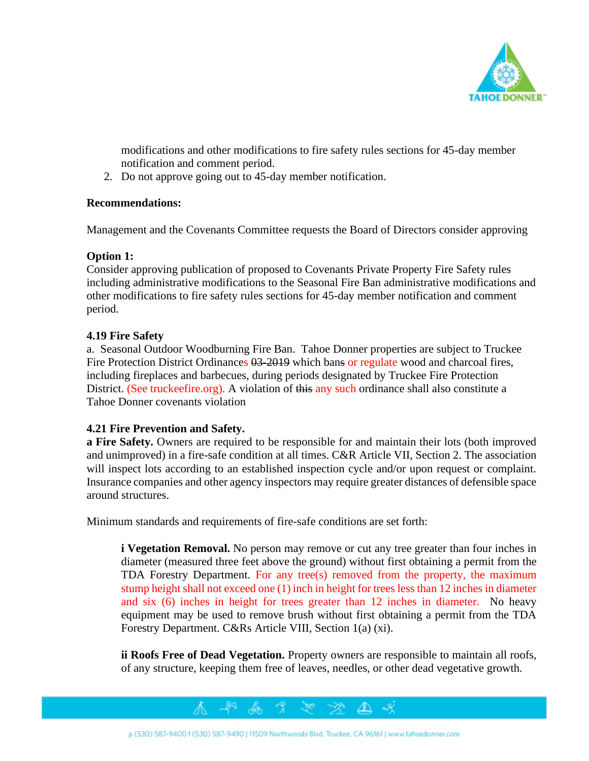

modifications and other modifications to fire safety rules sections for 45-day member notification and comment period.

2. Do not approve going out to 45-day member notification.

## **Recommendations:**

Management and the Covenants Committee requests the Board of Directors consider approving

# **Option 1:**

Consider approving publication of proposed to Covenants Private Property Fire Safety rules including administrative modifications to the Seasonal Fire Ban administrative modifications and other modifications to fire safety rules sections for 45-day member notification and comment period.

## **4.19 Fire Safety**

a. Seasonal Outdoor Woodburning Fire Ban. Tahoe Donner properties are subject to Truckee Fire Protection District Ordinances  $0.3-2019$  which bans or regulate wood and charcoal fires, including fireplaces and barbecues, during periods designated by Truckee Fire Protection District. (See truckeefire.org). A violation of this any such ordinance shall also constitute a Tahoe Donner covenants violation

#### **4.21 Fire Prevention and Safety.**

**a Fire Safety.** Owners are required to be responsible for and maintain their lots (both improved and unimproved) in a fire-safe condition at all times. C&R Article VII, Section 2. The association will inspect lots according to an established inspection cycle and/or upon request or complaint. Insurance companies and other agency inspectors may require greater distances of defensible space around structures.

Minimum standards and requirements of fire-safe conditions are set forth:

**i Vegetation Removal.** No person may remove or cut any tree greater than four inches in diameter (measured three feet above the ground) without first obtaining a permit from the TDA Forestry Department. For any tree(s) removed from the property, the maximum stump height shall not exceed one (1) inch in height for trees less than 12 inches in diameter and six (6) inches in height for trees greater than 12 inches in diameter. No heavy equipment may be used to remove brush without first obtaining a permit from the TDA Forestry Department. C&Rs Article VIII, Section 1(a) (xi).

**ii Roofs Free of Dead Vegetation.** Property owners are responsible to maintain all roofs, of any structure, keeping them free of leaves, needles, or other dead vegetative growth.